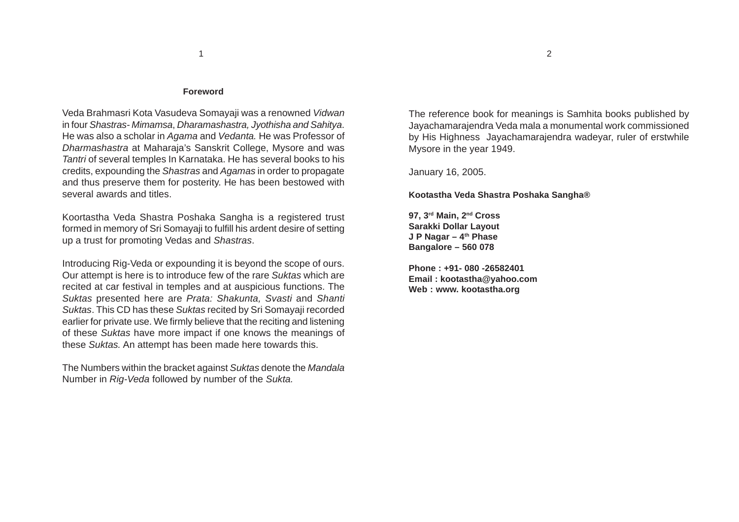#### **Foreword**

Veda Brahmasri Kota Vasudeva Somayaji was a renowned *Vidwan* in four *Shastras- Mimamsa*, *Dharamashastra, Jyothisha and Sahitya*. He was also a scholar in *Agama* and *Vedanta.* He was Professor of *Dharmashastra* at Maharaja's Sanskrit College, Mysore and was *Tantri* of several temples In Karnataka. He has several books to his credits, expounding the *Shastras* and *Agamas* in order to propagate and thus preserve them for posterity. He has been bestowed with several awards and titles.

Koortastha Veda Shastra Poshaka Sangha is a registered trust formed in memory of Sri Somayaji to fulfill his ardent desire of setting up a trust for promoting Vedas and *Shastras*.

Introducing Rig-Veda or expounding it is beyond the scope of ours. Our attempt is here is to introduce few of the rare *Suktas* which are recited at car festival in temples and at auspicious functions. The *Suktas* presented here are *Prata: Shakunta, Svasti* and *Shanti Suktas*. This CD has these *Suktas* recited by Sri Somayaji recorded earlier for private use. We firmly believe that the reciting and listening of these *Suktas* have more impact if one knows the meanings of these *Suktas.* An attempt has been made here towards this.

The Numbers within the bracket against *Suktas* denote the *Mandala* Number in *Rig-Veda* followed by number of the *Sukta.*

The reference book for meanings is Samhita books published by Jayachamarajendra Veda mala a monumental work commissioned by His Highness Jayachamarajendra wadeyar, ruler of erstwhile Mysore in the year 1949.

January 16, 2005.

#### **Kootastha Veda Shastra Poshaka Sangha®**

**97, 3rd Main, 2nd Cross Sarakki Dollar Layout J P Nagar – 4th Phase Bangalore – 560 078**

**Phone : +91- 080 -26582401 Email : kootastha@yahoo.com Web : www. kootastha.org**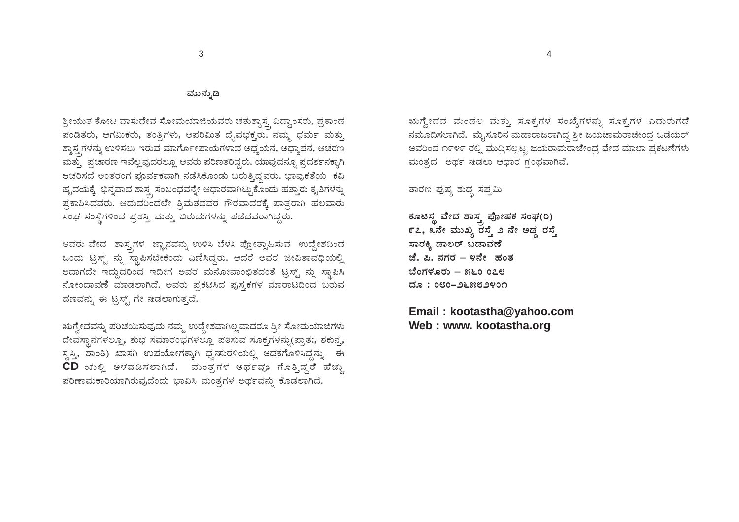#### ಮುನ್ನುಡಿ

ಶ್ರೀಯುತ ಕೋಟ ವಾಸುದೇವ ಸೋಮಯಾಜಿಯವರು ಚತುಶ್ಶಾಸ್ತ್ರ ವಿದ್ವಾಂಸರು, ಪ್ರಕಾಂಡ ಪಂಡಿತರು, ಆಗಮಿಕರು, ತಂತ್ರಿಗಳು, ಅಪರಿಮಿತ ದೈವಭಕ್ತರು. ನಮ್ಮ ಧರ್ಮ ಮತ್ತು ಶ್ನಾಸ್ತ್ರಗಳನ್ನು ಉಳಿಸಲು ಇರುವ ಮಾರ್ಗೊಪಾಯಗಳಾದ ಅಧ್ಯಯನ, ಅಧ್ಯಾಪನ, ಆಚರಣ ಮತ್ತು ಪ್ರಚಾರಣ ಇವೆಲ್ಲವುದರಲ್ಲೂ ಅವರು ಪರಿಣತರಿದ್ದರು. ಯಾವುದನ್ನೂ ಪ್ರದರ್ಶನಕ್ಕಾಗಿ ಆಚರಿಸದೆ ಅಂತರಂಗ ಪೂರ್ವಕವಾಗಿ ನಡೆಸಿಕೊಂಡು ಬರುತ್ತಿದ್ದವರು. ಭಾವುಕತೆಯ ಕವಿ ಹೃದಯಕ್ಕೆ ಭಿನ್ನವಾದ ಶಾಸ್ತ್ರ ಸಂಬಂಧವನ್ನೇ ಆಧಾರವಾಗಿಟ್ಟುಕೊಂಡು ಹತ್ತಾರು ಕೃತಿಗಳನ್ನು ್ಪಪ್ರಕಾಶಿಸಿದವರು. ಆದುದರಿಂದಲೇ ತ್ರಿಮತದವರ ಗೌರವಾದರಕ್ಕೆ ಪಾತ್ರರಾಗಿ ಹಲವಾರು ಸಂಘ ಸಂಸ್ಥೆಗಳಿಂದ ಪ್ರಶಸ್ತಿ ಮತ್ತು ಬಿರುದುಗಳನ್ನು ಪಡೆದವರಾಗಿದ್ದರು.

ಆವರು ವೇದ ಶಾಸ್ತ್ರಗಳ ಜ್ಞಾನವನ್ನು ಉಳಿಸಿ ಬೆಳಸಿ ಪ್ರೋತ್ಸಾಹಿಸುವ ಉದ್ದೇಶದಿಂದ ಒಂದು ಟ್ರಸ್ಟ್ ನ್ನು ಸ್ಥಾಪಿಸಬೇಕೆಂದು ಎಣಿಸಿದ್ದರು. ಆದರೆ ಅವರ ಜೀವಿತಾವಧಿಯಲ್ಲಿ ಅದಾಗದೇ ಇದ್ದುದರಿಂದ ಇದೀಗ ಅವರ ಮನೋವಾಂಛಿತದಂತೆ ಟ್ರಸ್ಟ್ ನ್ನು ಸ್ಥಾಪಿಸಿ ನೋಂದಾವಣೆ ಮಾಡಲಾಗಿದೆ. ಅವರು ಪ್ರಕಟಿಸಿದ ಪುಸ್ತಕಗಳ ಮಾರಾಟದಿಂದ ಬರುವ ಹಣವನ್ನು ಈ ಟ್ರಸ್ಟ್ ಗೇ ಸಡಲಾಗುತ್ತದೆ.

ಋಗ್ವೇದವನ್ನು ಪರಿಚಯಿಸುವುದು ನಮ್ಮ ಉದ್ದೇಶವಾಗಿಲ್ಲವಾದರೂ ಶ್ರೀ ಸೋಮಯಾಜಿಗಳು ದೇವಸ್ಥಾನಗಳಲ್ಲೂ, ಶುಭ ಸಮಾರಂಭಗಳಲ್ಲೂ ಪಠಿಸುವ ಸೂಕೃಗಳನ್ನು(ಪ್ರಾತ:, ಶಕುನೃ, ಸ್ವಸ್ತಿ, ಶಾಂತಿ) ಖಾಸಗಿ ಉಪಯೋಗಕ್ಕಾಗಿ ಧ್ವಸುರಳಿಯಲ್ಲಿ ಅಡಕಗೊಳಿಸಿದ್ದನ್ನು ಈ  $CD$  ಯಲ್ಲಿ ಅಳವಡಿಸಲಾಗಿದೆ. ಮಂತ್ರಗಳ ಅರ್ಥವೂ ಗೊತ್ತಿದ್ದರೆ ಹೆಚ್ಚು ಪರಿಣಾಮಕಾರಿಯಾಗಿರುವುದೆಂದು ಭಾವಿಸಿ ಮಂತ್ರಗಳ ಅರ್ಥವನ್ನು ಕೊಡಲಾಗಿದೆ.

ಋಗ್ವೇದದ ಮಂಡಲ ಮತ್ತು ಸೂಕ್ತಗಳ ಸಂಖ್ಯೆಗಳನ್ನು ಸೂಕ್ತಗಳ ಎದುರುಗಡೆ ನಮೂದಿಸಲಾಗಿದೆ. ಮೈಸೂರಿನ ಮಹಾರಾಜರಾಗಿದ್ದ ಶ್ರೀ ಜಯಚಾಮರಾಜೇಂದ್ರ ಒಡೆಯರ್ ಅವರಿಂದ ೧೯೪೯ ರಲ್ಲಿ ಮುದ್ರಿಸಲ್ಪಟ್ಟ ಜಯರಾಮರಾಜೇಂದ್ರ ವೇದ ಮಾಲಾ ಪ್ರಕಟಣೆಗಳು ಮಂತ್ರದ ಅರ್ಥ ಷಡಲು ಆಧಾರ ಗಂಥವಾಗಿವೆ.

ತಾರಣ ಪುಷ್ಯ ಶುದ್ಧ ಸಪ್ತಮಿ

ಕೂಟಸ್ಥ ವೇದ ಶಾಸ್ತ್ರ ಪೋಷಕ ಸಂಘ(ರಿ) ೯೭, ೩ನೇ ಮುಖ್ಯ ರಸ್ತೆ ೨ ನೇ ಅಡ್ಡ ರಸ್ತೆ ಸಾರಕ್ಕಿ ಡಾಲರ್ ಬಡಾವಣೆ ಜೆ. ಪಿ. ನಗರ – ೪ನೇ ಹಂತ ಬೆಂಗಳೂರು – ೫೬೦ ೦೭೮ ದೂ : ೦೮೦–೨೬೫೮೨೪೦೧

Email: kootastha@yahoo.com Web: www. kootastha.org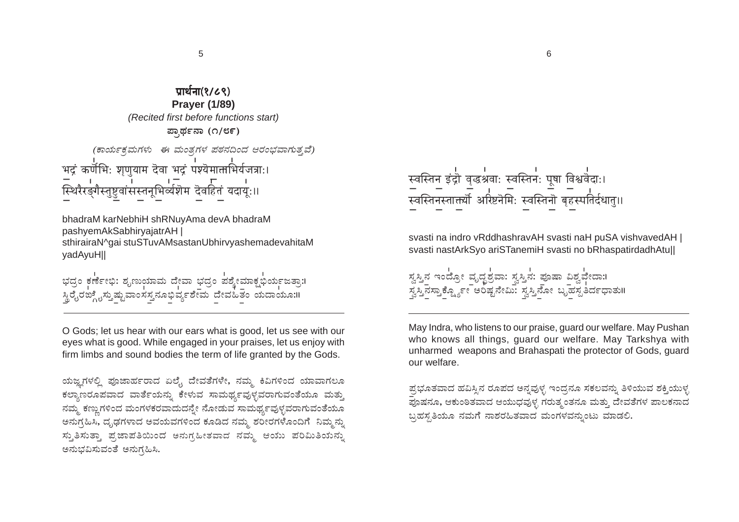प्रार्थना(१/८९) **Praver (1/89)** (Recited first before functions start) ಪ್ತಾರ್ಥನಾ (೧/೮೯) (ಕಾರ್ಯಕ್ಷಮಗಳು ಈ ಮಂತ್ರಗಳ ಪಠನದಿಂದ ಆರಂಭವಾಗುತ್ತವೆ) भद्रं कर्णेभिः शृणुयाम देवा भद्रं पश्येमात्ताभिर्यजत्राः। स्थिरैरङ्गैस्तुष्टुवांसस्तनूभिर्व्यशॆम दॆवहितं यदाय:।।

bhadraM karNebhiH shRNuyAma devA bhadraM pashyemAkSabhiryajatrAH sthirairaN^gai stuSTuvAMsastanUbhirvyashemadevahitaM yadAyuH||

ಭದ್ರಂ ಕರ್ಣೇಭಿ: ಶೃಣುಯಾಮ ದೇವಾ ಭದ್ರಂ ಪಶ್ಶೇಮಾಕ್ಷಭರ್ಯಜತ್ತಾ:1 ್ಥಿರೈರಙ್ಲೈಸ್ತುಷ್ಟುವಾಂಸಸ್ತನೂಭಿರ್ವ್ನಶೇಮ ದೇವಹಿತಂ ಯದಾಯೂ:॥

O Gods; let us hear with our ears what is good, let us see with our eyes what is good. While engaged in your praises, let us enjoy with firm limbs and sound bodies the term of life granted by the Gods.

ಯಜ್ಞಗಳಲ್ಲಿ ಪೂಜಾರ್ಹರಾದ ಏಲೈ ದೇವತೆಗಳೇ, ನಮ್ಮ ಕಿವಿಗಳಿಂದ ಯಾವಾಗಲೂ ಕಲ್ಯಾಣರೂಪವಾದ ವಾರ್ತೆಯನ್ನು ಕೇಳುವ ಸಾಮರ್ಥ್ಯವುಳ್ಳವರಾಗುವಂತೆಯೂ ಮತ್ತು ನಮ್ಮ ಕಣ್ತುಗಳಿಂದ ಮಂಗಳಕರವಾದುದನ್ನೇ ನೋಡುವ ಸಾಮರ್ಥ್ಯವುಳ್ಳವರಾಗುವಂತೆಯೂ ಅನುಗ್ರಹಿಸಿ, ದೃಢಗಳಾದ ಅವಯವಗಳಿಂದ ಕೂಡಿದ ನಮ್ಮ ಶರೀರಗಳೊಂದಿಗೆ ನಿಮ್ಮನ್ನು ಸ್ತುತಿಸುತ್ತಾ ಪ್ರಜಾಪತಿಯಿಂದ ಅನುಗ್ರಹೀತವಾದ ನಮ್ಮ ಆಯು ಪರಿಮಿತಿಯನ್ನು ಅನುಭವಿಸುವಂತೆ ಅನುಗ್ದಹಿಸಿ.

स्वस्तिन इंद्री वृद्धश्रवाः स्वस्तिनः पूषा विश्ववेदाः। स्वस्तिनस्ताक्त्यो अर्रिष्टनॆमि: स्वस्तिनॊ बृहस्पतिर्दधातु॥

svasti na indro vRddhashravAH svasti naH puSA vishvavedAH | svasti nastArkSyo ariSTanemiH svasti no bRhaspatirdadhAtu||

6

ಸ್ವಸ್ತಿನ ಇಂದ್ರೋ ವೃದ್ಧಶ್ರವಾ: ಸ್ವಸ್ತಿನ: ಪೂಷಾ ವಿಶ್ವವೇದಾ:1 ಸ್ವಸ್ತಿನಸ್ತಾಕ್ಬ್ಶೋ ಅರಿಷ್ಟನೇಮಿ: ಸ್ವಸ್ತಿನೋ ಬೃಹಸ್ಪತಿರ್ದಧಾತು॥

May Indra, who listens to our praise, quard our welfare. May Pushan who knows all things, quard our welfare. May Tarkshya with unharmed weapons and Brahaspati the protector of Gods, quard our welfare.

ಪ್ರಭೂತವಾದ ಹವಿಸ್ತಿನ ರೂಪದ ಅನ್ನವುಳ್ಳ ಇಂದ್ರನೂ ಸಕಲವನ್ನು ತಿಳಿಯುವ ಶಕ್ತಿಯುಳ್ಳ \_<br>ಪೂಷನೂ, ಆಕುಂಠಿತವಾದ ಆಯುಧವುಳ್ಳ ಗರುತ್ತಂತನೂ ಮತ್ತು ದೇವತೆಗಳ ಪಾಲಕನಾದ ಬ್ರಹಸ್ರತಿಯೂ ನಮಗೆ ನಾಶರಹಿತವಾದ ಮಂಗಳವನ್ನುಂಟು ಮಾಡಲಿ.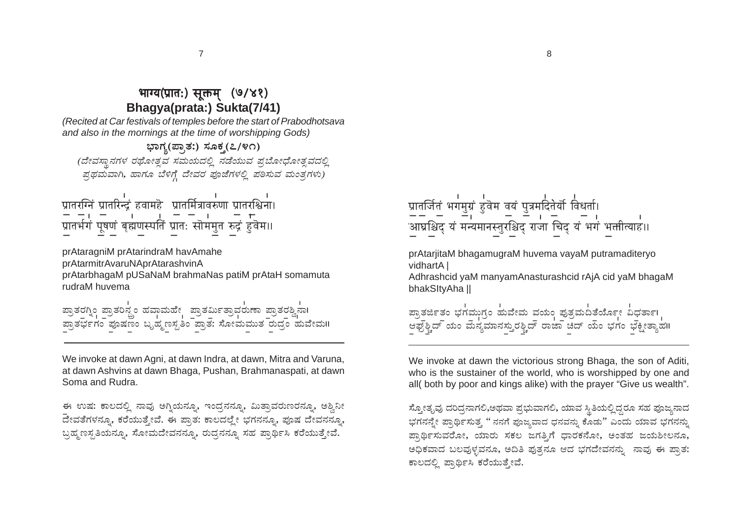## भाग्य(प्रात:) सुक्तम (७/४१) Bhaqya(prata:) Sukta(7/41)

(Recited at Car festivals of temples before the start of Prabodhotsava and also in the mornings at the time of worshipping Gods)

ಭಾಗ್ಯ(ಪ್ರಾತ:) ಸೂಕ್ತ(೭/೪೧) (ದೇವಸ್ಥಾನಗಳ ರಥೋತ್ಸವ ಸಮಯದಲ್ಲಿ ನಡೆಯುವ ಪುಬೋಧೋತ್ಸವದಲ್ಲಿ ಪ್ರಥಮವಾಗಿ, ಹಾಗೂ ಬೆಳಿಗ್ಗೆ ದೇವರ ಪೂಜೆಗಳಲ್ಲಿ ಪಠಿಸುವ ಮಂತ್ರಗಳು)

|  | प्रातरग्निं प्रातरिन्द्रं हवामहे प्रातर्मित्रावरुणा प्रातरश्चिना। |  |  |
|--|-------------------------------------------------------------------|--|--|
|  |                                                                   |  |  |
|  | प्रातर्भगं पूषणं बृह्मणस्पतिं प्रातः सॊममुत रुद्रं हुवॆम॥         |  |  |
|  |                                                                   |  |  |

prAtaragniM prAtarindraM havAmahe prAtarmitrAvaruNAprAtarashvinA prAtarbhagaM pUSaNaM brahmaNas patiM prAtaH somamuta rudraM huvema

|  | ಪ್ರಾತರಗ್ನಿಂ ಪ್ರಾತರಿನ್ಸ್ರಂ ಹವಾಮಹೇ ಪ್ರಾತರ್ಮಿತ್ರಾವರುಣಾ ಪ್ರಾತರಶ್ವಿನಾ। |  |  |
|--|-------------------------------------------------------------------|--|--|
|  |                                                                   |  |  |
|  |                                                                   |  |  |
|  | ಪ್ರಾತರ್ಭಗಂ ಪೂಷಣಂ ಬೃಹ್ಮಣಸ್ಪತಿಂ ಪ್ರಾತ: ಸೋಮಮುತ ರುದ್ರಂ ಹುವೇಮ॥         |  |  |
|  |                                                                   |  |  |
|  |                                                                   |  |  |

We invoke at dawn Agni, at dawn Indra, at dawn, Mitra and Varuna, at dawn Ashvins at dawn Bhaga, Pushan, Brahmanaspati, at dawn Soma and Rudra.

ಈ ಉಷ: ಕಾಲದಲ್ಲಿ ನಾವು ಅಗ್ನಿಯನ್ನೂ, ಇಂದ್ಗನನ್ನೂ, ಮಿತ್ತಾವರುಣರನ್ನೂ, ಅಶ್ತಿನೀ ದೇವತೆಗಳನ್ನೂ, ಕರೆಯುತ್ತೇವೆ. ಈ ಪ್ರಾತ: ಕಾಲದಲ್ಲೇ ಭಗನನ್ನೂ, ಪೂಷ ದೇವನನ್ನೂ, ಬ್ರಹ್ಮಣಸ್ವತಿಯನ್ನೂ, ಸೋಮದೇವನನ್ನೂ, ರುದ್ಧನನ್ನೂ ಸಹ ಪ್ರಾರ್ಥಿಸಿ ಕರೆಯುತ್ತೇವೆ.

प्रातर्जितं भगमुग्रं हुवेम वयं पुत्रमदितेर्यौ विधर्ता। —— — — — — — — — — — — ।<br>`आघ्रश्चिद् यं मन्यमानस्तुरश्चिद् राजा चिद् यं भगं भक्तीत्याह।।

prAtarjitaM bhagamugraM huvema vayaM putramaditeryo vidhartA I

Adhrashcid yaM manyamAnasturashcid rAjA cid yaM bhagaM bhakSItyAha ||



We invoke at dawn the victorious strong Bhaga, the son of Aditi, who is the sustainer of the world, who is worshipped by one and all(both by poor and kings alike) with the prayer "Give us wealth".

ಸ್ಕೋತೃವು ದರಿದ್ರನಾಗಲಿ,ಅಥವಾ ಪ್ರಭುವಾಗಲಿ, ಯಾವ ಸ್ಥಿತಿಯಲ್ಲಿದ್ದರೂ ಸಹ ಪೂಜ್ಯನಾದ ಭಗನನ್ನೇ ಪ್ರಾರ್ಥಿಸುತ್ತ '' ನನಗೆ ಪೂಜ್ಮವಾದ ಧನವನ್ನು ಕೊಡು'' ಎಂದು ಯಾವ ಭಗನನ್ನು ಪ್ರಾರ್ಥಿಸುವರೋ, ಯಾರು ಸಕಲ ಜಗತಿಗೆ ಧಾರಕನೋ, ಅಂತಹ ಜಯಶೀಲನೂ, ಅಧಿಕವಾದ ಬಲವುಳ್ಳವನೂ, ಅದಿತಿ ಪುತ್ತನೂ ಆದ ಭಗದೇವನನ್ನು ನಾವು ಈ ಪ್ತಾತ: ಕಾಲದಲ್ಲಿ ಪ್ರಾರ್ಥಿಸಿ ಕರೆಯುತ್ತೇವೆ.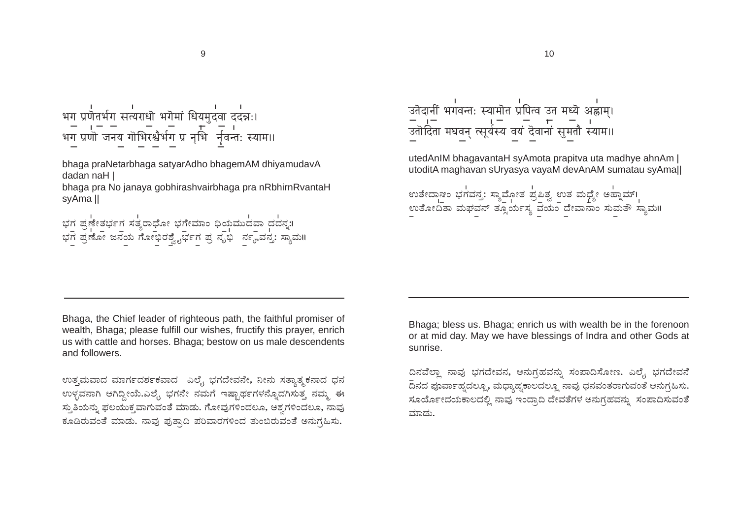bhaga praNetarbhaga satyarAdho bhagemAM dhiyamudavA dadan naH |

bhaga pra No janaya gobhirashvairbhaga pra nRbhirnRvantaH svAma II

ಭಗ ಪ್ರಣೇತರ್ಭಗ ಸತ್ಯರಾಧೋ ಭಗೇಮಾಂ ಧಿಯಮುದವಾ ದದನ್ನ:।<br>ಭಗ ಪ್ರಣೋ ಜನಯ ಗೋಭಿರಶ್ವೈರ್ಭಗ ಪ್ರ ನೃಭಿ ನಣ್ಣವನ್ತ: ಸ್ಯಾಮ॥

्<br>उतेदानीं भगवन्तः स्यामॊत प्रपित्व उत मध्यॆ अह्राम्। — प्रत्यात् । — पर्णाणान् ।<br>उतादिता मघवन् त्सूर्यस्य वयं दॆवानां सुमतौ स्याम॥

utedAnIM bhagavantaH syAmota prapitva uta madhye ahnAm | utoditA maghayan sUryasya yayaM devAnAM sumatau syAmall

Bhaga, the Chief leader of righteous path, the faithful promiser of wealth. Bhaga: please fulfill our wishes, fructify this prayer, enrich us with cattle and horses. Bhaga; bestow on us male descendents and followers.

ಉತ್ತಮವಾದ ಮಾರ್ಗದರ್ಶಕವಾದ ಎಲ್ವೆ ಭಗದೇವನೇ, ನೀನು ಸತ್ಥಾತ್ಮಕನಾದ ಧನ ಉಳ್ಳವನಾಗಿ ಆಗಿದ್ದೀಯೆ.ಎಲೈ, ಭಗನೇ ನಮಗೆ ಇಷ್ಟಾರ್ಥಗಳನ್ನೊದಗಿಸುತ್ತ ನಮ್ಮ ಈ ಸ್ತುತಿಯನ್ನು ಫಲಯುಕ್ತವಾಗುವಂತೆ ಮಾಡು. ಗೋವುಗಳಿಂದಲೂ, ಅಶ್ತಗಳಿಂದಲೂ, ನಾವು ಕೂಡಿರುವಂತೆ ಮಾಡು. ನಾವು ಪುತ್ತಾದಿ ಪರಿವಾರಗಳಿಂದ ತುಂಬಿರುವಂತೆ ಅನುಗ್ಧಹಿಸು.

Bhaga; bless us. Bhaga; enrich us with wealth be in the forenoon or at mid day. May we have blessings of Indra and other Gods at sunrise.

ದಿನವೆಲ್ಲಾ ನಾವು ಭಗದೇವನ, ಅನುಗ್ರಹವನ್ನು ಸಂಪಾದಿಸೋಣ. ಎಲೈ ಭಗದೇವನೆ .<br>ದಿನದ ಪೂರ್ವಾಹ್ನದಲ್ಲೂ, ಮಧ್ಯಾಹ್ನಕಾಲದಲ್ಲೂ ನಾವು ಧನವಂತರಾಗುವಂತೆ ಅನುಗ್ಗಹಿಸು. ಸೂರ್ಯೋದಯಕಾಲದಲ್ಲಿ ನಾವು ಇಂದ್ರಾದಿ ದೇವತೆಗಳ ಅನುಗ್ರಹವನ್ನು ಸಂಪಾದಿಸುವಂತೆ ಮಾಡು.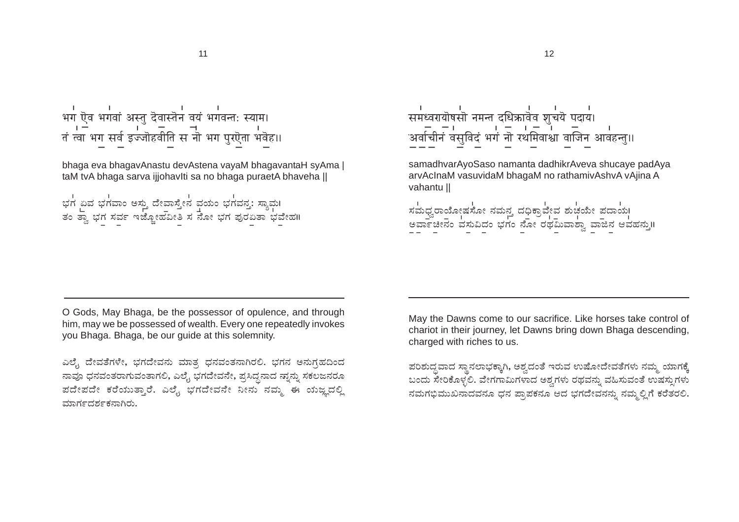# 

bhaga eva bhagavAnastu devAstena vayaM bhagavantaH syAma | taM tvA bhaga sarva ijjohavlti sa no bhaga puraetA bhaveha ||

್ತು<br>ಭಗ ಏವ ಭಗವಾಂ ಅಸ್ತು ದೇವಾಸ್ತೇನ ವಯಂ ಭಗವನ್ತ: ಸ್ಯಾಮ।<br>ತಂ ತ್ವಾ ಭಗ ಸರ್ವ ಇಜ್ಜೋಹವೀತಿ ಸ ನೋ ಭಗ ಪುರಏತಾ ಭವೇಹ॥

samadhvarAyoSaso namanta dadhikrAveva shucaye padAya arvAcInaM vasuvidaM bhagaM no rathamivAshvA vAjina A vahantu II

್ರ<br>ಸಮಧ್ವರಾಯೋಷಸೋ ನಮನ್ತ ದಧಿಕ್ರಾವೇವ ಶುಚಯೇ ಪದಾಯ।<br>ಅರ್ವಾಚೀನಂ ವಸುವಿದಂ ಭಗಂ ನೋ ರಥಮಿವಾಶ್ವಾ ವಾಜಿನ ಆವಹನ್ನು॥

O Gods, May Bhaga, be the possessor of opulence, and through him, may we be possessed of wealth. Every one repeatedly invokes vou Bhaga. Bhaga, be our quide at this solemnity.

ಎಲ್ಟೆ ದೇವತೆಗಳೇ, ಭಗದೇವನು ಮಾತ್ರ ಧನವಂತನಾಗಿರಲಿ. ಭಗನ ಅನುಗ್ರಹದಿಂದ ನಾವೂ ಧನವಂತರಾಗುವಂತಾಗಲಿ, ಎಲೈ ಭಗದೇವನೇ, ಪ್ರಸಿದ್ಧನಾದ ನ್ನಾನ್ನು ಸಕಲಜನರೂ ಪದೇಪದೇ ಕರೆಯುತ್ತಾರೆ. ಎಲೈ ಭಗದೇವನೇ ನೀನು ನಮ್ಮ ಈ ಯಜ್ಞದಲ್ಲಿ ಮಾರ್ಗದರ್ಶಕನಾಗಿರು.

May the Dawns come to our sacrifice. Like horses take control of chariot in their journey. let Dawns bring down Bhaga descending. charged with riches to us.

ಪರಿಶುದ್ಧವಾದ ಸ್ಥಾನಲಾಭಕ್ಕಾಗಿ, ಅಶ್ವದಂತೆ ಇರುವ ಉಷೋದೇವತೆಗಳು ನಮ್ಮ ಯಾಗಕ್ಕೆ ಬಂದು ಸೇರಿಕೊಳ್ಳಲಿ. ವೇಗಗಾಮಿಗಳಾದ ಅಶ್ವಗಳು ರಥವನ್ನು ವಹಿಸುವಂತೆ ಉಷಸ್ಸುಗಳು ನಮಗಭಿಮುಖನಾದವನೂ ಧನ ಪ್ರಾಪಕನೂ ಆದ ಭಗದೇವನನ್ನು ನಮ್ಮಲ್ಲಿಗೆ ಕರೆತರಲಿ.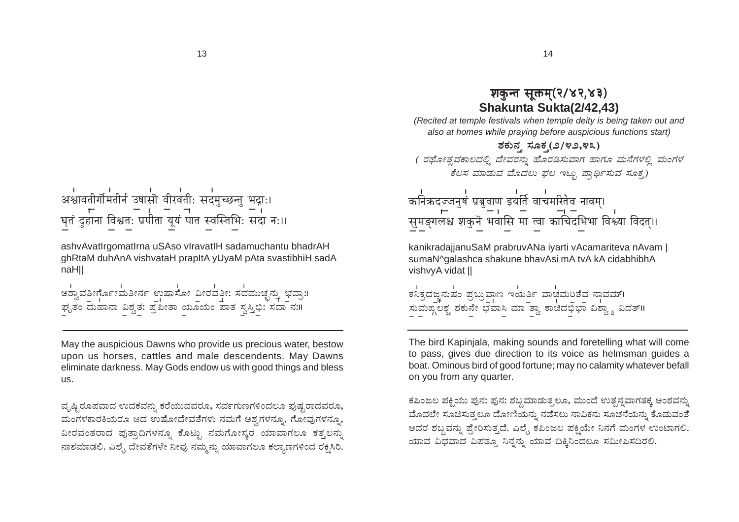पतं दुहानां विश्वतः प्रपीतां यूयं पातं स्वस्तिभिः सदा नः॥

ashvAvatIrgomatIrna uSAso vIravatIH sadamuchantu bhadrAH ghRtaM duhAnA vishvataH prapltA yUyaM pAta svastibhiH sadA naHII

।<br>ಅಶ್ವಾವತೀರ್ಗೊಂಟಾತೀರ್ನ ಉಷಾಸೋ ವೀರವತೀ: ಸದಮುಚ್ಛನ್ನು ಭದ್ರಾ:।<br>ಫೃತಂ ದುಹಾನಾ ವಿಶ್ವತ. ಪ್ರಪೀತಾ ಯೂಯಂ ಪಾತ ಸ್ವಸ್ತಿಭಿ: ಸದಾ ನ:॥

May the auspicious Dawns who provide us precious water, bestow upon us horses, cattles and male descendents. May Dawns eliminate darkness. May Gods endow us with good things and bless us.

ವೃಷ್ಟಿರೂಪವಾದ ಉದಕವನ್ನು ಕರೆಯುವವರೂ, ಸರ್ವಗುಣಗಳಿಂದಲೂ ಪುಷ್ಟರಾದವರೂ, ಮಂಗಳಕಾರಕಿಯರೂ ಆದ ಉಷೋದೇವತೆಗಳು ನಮಗೆ ಅಶ್ತಗಳನ್ನೂ, ಗೋವುಗಳನ್ನೂ, ವೀರವಂತರಾದ ಪುತ್ರಾದಿಗಳನ್ನೂ ಕೊಟ್ಟು ನಮಗೋಸ್ಕರ ಯಾವಾಗಲೂ ಕತ್ತಲನ್ನು ನಾಶಮಾಡಲಿ. ಎಲ್ಟೆ ದೇವತೆಗಳೇ ನೀವು ನಮ್ಮನ್ನು ಯಾವಾಗಲೂ ಕಲ್ಯಾಣಗಳಿಂದ ರಕ್ಷಿಸಿರಿ.

#### शकुन्त सुक्तम्(२/४२,४३) Shakunta Sukta(2/42.43)

14

(Recited at temple festivals when temple deity is being taken out and also at homes while praying before auspicious functions start)

ಶಕುನ ಸೂಕ (೨/೪೨,೪೩) (ರಥೋತ್ಸವಕಾಲದಲ್ಲಿ ದೇವರನ್ನು ಹೊರಡಿಸುವಾಗ ಹಾಗೂ ಮನೆಗಳಲ್ಲಿ ಮಂಗಳ ಕೆಲಸ ಮಾಡುವ ಮೊದಲು ಫಲ ಇಟ್ಟು ಪ್ರಾರ್ಥಿಸುವ ಸೂಕ್ತ)

्णाः<br>कनिक्रदज्जनुषं प्रबुवाण इयर्ति वाचमरितेव नावम्। सुमङ्गलश्च शकुने भवासि मा त्वा काचिदभिभा विश्व्या विदत्।।

kanikradajjanuSaM prabruvANa iyarti vAcamariteva nAvam | sumaN^galashca shakune bhavAsi mA tvA kA cidabhibhA vishvyA vidat ||

।<br>ಕನಿಕ್ರದಜ್ಜನುಷಂ ಪ್ರಬ್ರುವಾಣ ಇಯರ್ತಿ ವಾಚವುರಿತೆವ ನಾವಮ್। ಸುಮಙ್ನಲಶ್ಚ ಶಕುನೇ ಭವಾಸಿ ಮಾತ್ತಾ ಕಾಚಿದಭಿಭಾ ವಿಶ್ವಾ ವಿದತ್॥

The bird Kapinjala, making sounds and foretelling what will come to pass, gives due direction to its voice as helmsman quides a boat. Ominous bird of good fortune; may no calamity whatever befall on you from any quarter.

ಕಪಿಂಜಲ ಪಕ್ಷಿಯು ಪುನ: ಪುನ: ಶಬ್ದಮಾಡುತ್ತಲೂ, ಮುಂದೆ ಉತ್ಪನ್ನವಾಗತಕ್ಕ ಅಂಶವನ್ನು ಮೊದಲೇ ಸೂಚಿಸುತ್ತಲೂ ದೋಣಿಯನ್ನು ನಡೆಸಲು ನಾವಿಕನು ಸೂಚನೆಯನ್ನು ಕೊಡುವಂತೆ ಅದರ ಶಬ್ದವನ್ನು ಪ್ರೇರಿಸುತ್ತದೆ. ಎಲ್ಟೆ ಕಪಿಂಜಲ ಪಕ್ಷಿಯೇ ನಿನಗೆ ಮಂಗಳ ಉಂಟಾಗಲಿ. ಯಾವ ವಿಧವಾದ ವಿಪತ್ತೂ ನಿನ್ನನ್ನು ಯಾವ ದಿಕ್ಕಿನಿಂದಲೂ ಸಮೀಪಿಸದಿರಲಿ.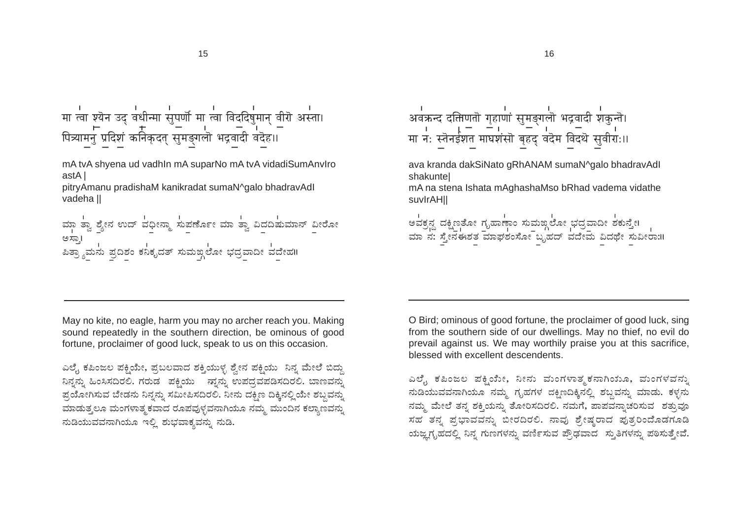मा त्वा श्यॆन उद् वधीन्मा सुपर्णो मा त्वा विदुदिषुमान् वीरॊ अस्ता। - प्रदेशं कनिकदत् सुमङ्गलो भद्रवादी वदेह।।

mA tvA shyena ud vadhln mA suparNo mA tvA vidadiSumAnvlro astA |

pitryAmanu pradishaM kanikradat sumaN^galo bhadravAdl vadeha II

| ಮಾ 'ಶ್ವಾ ಶ್ಯೇನ ಉದ್ ವಧೀನ್ಮಾ 'ಸುಪರ್ಣೋ ಮಾ 'ಶ್ವಾ ವಿದದಿಷುಮಾನ್ ವೀರೋ ಅಸಾ! ್ಲಿತ್ತ.<br>|ಪಿತ್ರ್ಯಾಮನು ಪ್ರದಿಶಂ ಕನಿಕೃದತ್ ಸುಮಙ್ದಲೋ ಭದ್ರವಾದೀ ವದೇಹ॥

। । । – – । – – । – ।<br>मा नः स्तॆनईशत माघशंसॊ बृहद् वदॆम विदथॆ सुवीरा:॥

ava kranda dakSiNato gRhANAM sumaN^galo bhadravAdl shakuntel

16

mA na stena Ishata mAghashaMso bRhad vadema vidathe suvirAHII

।<br>ಅವಕ್ರನ್ದ ದಕ್ಷಿಣಕೋ ಗೃಹಾಣಾಂ ಸುಮಙ್ಗಲೋ ಭದ್ರವಾದೀ ಶಕುನ್ತೇ।<br>ಮಾ ನ: ಸ್ತೇನಈಶತ ಮಾಘಶಂಸೋ ಬೃಹದ್ ವದೇಮ ವಿದಥೇ ಸುವೀರಾ:॥

May no kite, no eagle, harm you may no archer reach you. Making sound repeatedly in the southern direction, be ominous of good fortune, proclaimer of good luck, speak to us on this occasion.

ಎಲ್ಟೆ ಕಪಿಂಜಲ ಪಕ್ಷಿಯೇ, ಪ್ರಬಲವಾದ ಶಕ್ತಿಯುಳ್ಳ ಶ್ರೇನ ಪಕ್ಷಿಯು ನಿನ್ನ ಮೇಲೆ ಬಿದ್ದು ನಿನ್ನನ್ನು ಹಿಂಸಿಸದಿರಲಿ. ಗರುಡ ಪಕ್ಷಿಯು ನ್ನುನ್ನು ಉಪದ್ಧವಪಡಿಸದಿರಲಿ. ಬಾಣವನ್ನು ಪ್ರಯೋಗಿಸುವ ಬೇಡನು ನಿನ್ನನ್ನು ಸಮೀಪಿಸದಿರಲಿ. ನೀನು ದಕ್ಷಿಣ ದಿಕ್ಕಿನಲ್ಲಿಯೇ ಶಬ್ದವನ್ನು ಮಾಡುತ್ತಲೂ ಮಂಗಳಾತ್ಮಕವಾದ ರೂಪವುಳ್ಳವನಾಗಿಯೂ ನಮ್ಮ ಮುಂದಿನ ಕಲ್ಯಾಣವನ್ನು ನುಡಿಯುವವನಾಗಿಯೂ ಇಲ್ಲಿ ಶುಭವಾಕ್ಯವನ್ನು ನುಡಿ.

O Bird; ominous of good fortune, the proclaimer of good luck, sing from the southern side of our dwellings. May no thief, no evil do prevail against us. We may worthily praise you at this sacrifice, blessed with excellent descendents.

ಎಲ್ಟೆ ಕಪಿಂಜಲ ಪಕ್ಷಿಯೇ, ನೀನು ಮಂಗಳಾತ್ಮಕನಾಗಿಯೂ, ಮಂಗಳವನ್ನು ನುಡಿಯುವವನಾಗಿಯೂ ನಮ್ಮ ಗೃಹಗಳ ದಕ್ಷಿಣದಿಕ್ಕಿನಲ್ಲಿ ಶಬ್ದವನ್ನು ಮಾಡು. ಕಳ್ಳನು ನಮ್ಮ ಮೇಲೆ ತನ್ನ ಶಕ್ತಿಯನ್ನು ತೋರಿಸದಿರಲಿ. ನಮಗೆ, ಪಾಪವನ್ನಾಚರಿಸುವ ಶತ್ತುವೂ ಸಹ ತನ್ನ ಪ್ರಭಾವವನ್ನು ಬೀರದಿರಲಿ. ನಾವು ಶ್ರೇಷ್ಠರಾದ ಪುತ್ತರಿಂದೊಡಗೂಡಿ ಯಜ್ಞಗೃಹದಲ್ಲಿ ನಿನ್ನ ಗುಣಗಳನ್ನು ವರ್ಣಿಸುವ ಪ್ರೌಢವಾದ ಸ್ಥುತಿಗಳನ್ನು ಪಠಿಸುತ್ತೇವೆ.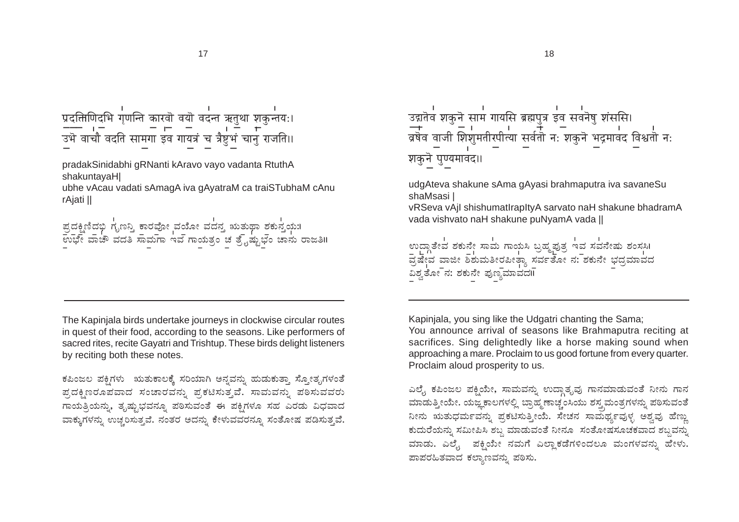

pradakSinidabhi gRNanti kAravo vayo vadanta RtuthA shakuntavaHI

ubhe vAcau vadati sAmagA iva gAyatraM ca traiSTubhaM cAnu rAjati ||

|  | ಪ್ರದಕ್ಷಿಣಿದಭಿ ಗೃಣನ್ತಿ ಕಾರವೋ ವಯೋ ವದನ್ತ ಋತುಥಾ ಶಕುನ್ತಯ:।<br>೨೦೦೫ ರ ೧ |                                                         |
|--|-------------------------------------------------------------------|---------------------------------------------------------|
|  |                                                                   |                                                         |
|  |                                                                   | ಉಭೇ ವಾಚೌ ವದತಿ ಸಾಮಗಾ ಇವ ಗಾಯತ್ರಂ ಚ ತ್ರೈಷ್ಟುಭಂ ಚಾನು ರಾಜತಿ॥ |
|  |                                                                   |                                                         |

The Kapinjala birds undertake journeys in clockwise circular routes in quest of their food, according to the seasons. Like performers of sacred rites, recite Gayatri and Trishtup. These birds delight listeners by reciting both these notes.

ಕಪಿಂಜಲ ಪಕ್ಷಿಗಳು ಋತುಕಾಲಕ್ಕೆ ಸರಿಯಾಗಿ ಅನ್ನವನ್ನು ಹುಡುಕುತ್ತಾ ಸ್ನೋತ್ಯಗಳಂತೆ ಪ್ರದಕ್ಷಿಣರೂಪವಾದ ಸಂಚಾರವನ್ನು ಪ್ರಕಟಿಸುತ್ತವೆ. ಸಾಮವನ್ನು ಪಠಿಸುವವರು ಗಾಯತ್ರಿಯನ್ನು, ತೃಷ್ಟುಭವನ್ನೂ ಪಠಿಸುವಂತೆ ಈ ಪಕ್ಷಿಗಳೂ ಸಹ ಎರಡು ವಿಧವಾದ ವಾಕ್ಕುಗಳನ್ನು ಉಚ್ಚರಿಸುತ್ತವೆ. ನಂತರ ಅದನ್ನು ಕೇಳುವವರನ್ನೂ ಸಂತೋಷ ಪಡಿಸುತ್ತವೆ. शकुने पुण्यमावद॥

udgAteva shakune sAma gAyasi brahmaputra iya sayaneSu shaMsasi I

vRSeva vAjl shishumatlrapItyA sarvato naH shakune bhadramA vada vishvato naH shakune puNyamA vada ||

ಉದ್ಗಾತೇವ ಶಕುನೇ ಸಾಮ ಗಾಯಸಿ ಬ್ರಹ್ಮಪುತ್ರ ಇವ ಸವನೇಷು ಶಂಸಸಿ। ವಿಶ್ವತೋ $\bar{\phantom{a}}$ ನ: ಶಕುನೇ ಪುಣ್ಯಮಾವದII

Kapinjala, you sing like the Udgatri chanting the Sama; You announce arrival of seasons like Brahmaputra reciting at sacrifices. Sing delightedly like a horse making sound when

approaching a mare. Proclaim to us good fortune from every quarter. Proclaim aloud prosperity to us.

ಎಲ್ಕೆ ಕಪಿಂಜಲ ಪಕ್ಷಿಯೇ, ಸಾಮವನ್ನು ಉದ್ಗಾತೃವು ಗಾನಮಾಡುವಂತೆ ನೀನು ಗಾನ ಮಾಡುತ್ತೀಯೇ. ಯಜ್ಞಕಾಲಗಳಲ್ಲಿ ಬ್ರಾಹ್ಮಣಾಚ್ಚಂಸಿಯು ಶಸ್ತ್ರಮಂತ್ರಗಳನ್ನು ಪಠಿಸುವಂತೆ ನೀನು ಋತುಧರ್ಮವನ್ನು ಪ್ರಕಟಿಸುತ್ತೀಯೆ. ಸೇಚನ ಸಾಮರ್ಥ್ಯವುಳ್ಳ ಅಶ್ವವು ಹೆಣ್ಣು ಕುದುರೆಯನ್ನು ಸಮೀಪಿಸಿ ಶಬ್ದ ಮಾಡುವಂತೆ ನೀನೂ ಸಂತೋಷಸೂಚಕವಾದ ಶಬ್ದವನ್ನು ಮಾಡು. ಎಲೈ, ಪಕ್ಷಿಯೇ ನಮಗೆ ಎಲ್ಲಾಕಡೆಗಳಿಂದಲೂ ಮಂಗಳವನ್ನು ಹೇಳು. ಪಾಪರಹಿತವಾದ ಕಲ್ಯಾಣವನ್ನು ಪಠಿಸು.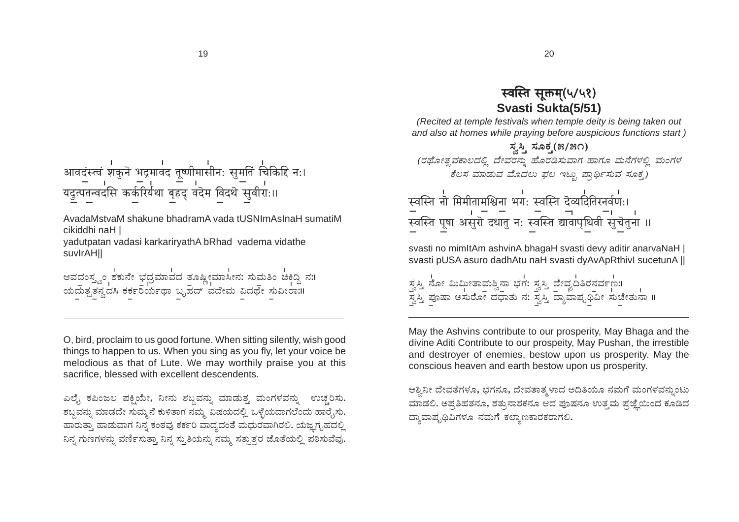आवदंस्त्वं शकुनॆ भद्रमावद तूष्णीमासीनः सुमतिं चिकिद्दि नः। = 1 = 1 = 1 = 1<br>यद्रत्पतन्वदसि कर्करिर्यथा बृहद् वदेम विदथॆ सुवीरा:॥

AvadaMstvaM shakune bhadramA vada tUSNImAsInaH sumatiM cikiddhi naH I

yadutpatan vadasi karkariryathA bRhad vadema vidathe suvIrAH<sub>II</sub>

ಅವದಂಸ್ತ್ವಂ ಶಕುನೇ ಭದ್ರಮಾವದ ತೂಷ್ಟೀಮಾಸೀನ: ಸುಮತಿಂ ಚಿಕಿದ್ದಿ ನ:। ಯದುತೃತನ್ವದಸಿ ಕರ್ಕರಿರ್ಯಥಾ ಬೃಹದ್ ವದೇಮ ವಿದರ್ಥೆ ಸುವೀರಾ:II

O, bird, proclaim to us good fortune. When sitting silently, wish good things to happen to us. When you sing as you fly, let your voice be melodious as that of Lute. We may worthily praise you at this sacrifice, blessed with excellent descendents.

ಎಲ್ಟೆ ಕಪಿಂಜಲ ಪಕ್ಷಿಯೇ, ನೀನು ಶಬ್ದವನ್ನು ಮಾಡುತ್ತ ಮಂಗಳವನ್ನು ಉಚ್ಚರಿಸು. ಶಬ್ದವನ್ನು ಮಾಡದೇ ಸುಮ್ಮನೆ ಕುಳಿತಾಗ ನಮ್ಮ ವಿಷಯದಲ್ಲಿ ಒಳ್ಳೆಯದಾಗಲೆಂದು ಹಾರೈಸು. ಹಾರುತ್ತಾ ಹಾಡುವಾಗ ನಿನ್ನ ಕಂಠವು ಕರ್ಕರಿ ವಾದ್ಯದಂತೆ ಮಧುರವಾಗಿರಲಿ. ಯಜ್ಞಗೃಹದಲ್ಲಿ ನಿನ್ನ ಗುಣಗಳನ್ನು ವರ್ಣಿಸುತ್ತಾ ನಿನ್ನ ಸ್ತುತಿಯನ್ನು ನಮ್ಮ ಸತ್ತುತ್ತರ ಜೊತೆಯಲ್ಲಿ ಪಠಿಸುವೆವು.

## स्वस्ति सुक्तम(५/५१) Svasti Sukta(5/51)

(Recited at temple festivals when temple deity is being taken out and also at homes while praying before auspicious functions start)

ಸ್ತಸ್ತಿ ಸೂಕ್ತ(೫/೫೧) (ರಥೋತ್ಸವಕಾಲದಲ್ಲಿ ದೇವರನ್ನು ಹೊರಡಿಸುವಾಗ ಹಾಗೂ ಮನೆಗಳಲ್ಲಿ ಮಂಗಳ ಕೆಲಸ ಮಾಡುವ ಮೊದಲು ಫಲ ಇಟ್ಟು ಪಾರ್ಥಿಸುವ ಸೂಕ್ತ)

। ।<br>स्वस्ति नो मिमीतामश्चिना भग: स्वस्ति दॆव्यदितिरनर्वण:। 

svasti no mimItAm ashvinA bhaqaH svasti devy aditir anarvaNaH | svasti pUSA asuro dadhAtu naH svasti dyAvApRthivI sucetunA ||

ಸ್ವಸ್ತಿ ನೋ ಮಿಮೀತಾಮಶ್ವಿನಾ ಭಗ: ಸ್ವಸ್ತಿ ದೇವ್ಯದಿತಿರನರ್ವಣ:।<br>ಸ್ವಸ್ತಿ ಪೂಷಾ ಅಸುರೋ ದಧಾತು ನ: ಸ್ವಸ್ತಿ ದ್ಯಾವಾಪೃಥಿವೀ ಸುಚೇತುನಾ ॥

May the Ashvins contribute to our prosperity, May Bhaga and the divine Aditi Contribute to our prospeity, May Pushan, the irrestible and destroyer of enemies, bestow upon us prosperity. May the conscious heaven and earth bestow upon us prosperity.

ಆಶ್ರಿನೀ ದೇವತೆಗಳೂ, ಭಗನೂ, ದೇವತಾತ್ಮಳಾದ ಅದಿತಿಯೂ ನಮಗೆ ಮಂಗಳವನ್ನುಂಟು ಮಾಡಲಿ. ಅಪ್ಪತಿಹತನೂ, ಶತ್ಸುನಾಶಕನೂ ಆದ ಪೂಷನೂ ಉತ್ತಮ ಪ್ರಜ್ಞೆಯಿಂದ ಕೂಡಿದ ದ್ತಾವಾಪೃಥಿವಿಗಳೂ ನಮಗೆ ಕಲ್ತಾಣಕಾರಕರಾಗಲಿ.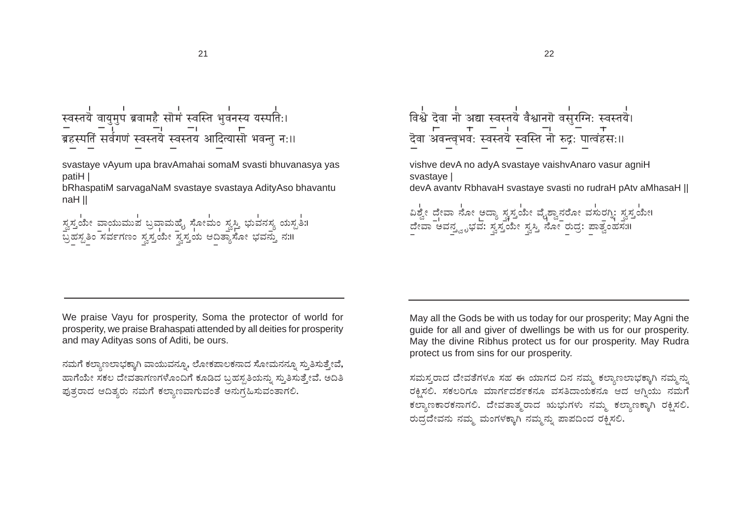रवस्तयॆ वायुमुप ब्रवामहै सॊमं स्वस्ति भुवनस्य यस्पति:। 

svastaye vAyum upa bravAmahai somaM svasti bhuvanasya yas patiH I

bRhaspatiM sarvagaNaM svastaye svastaya AdityAso bhavantu naH II

ಸ್ವಸ್ತ್ರಯೇ ವಾಯುಮುವ ಬ್ರವಾಮಹೈ ಸೋಮಂ ಸ್ವಸ್ತಿ ಭುವನಸ್ಯ ಯಸ್ಪತಿ:।<br>ಪ್ರಹಸ್ಪತಿಂ ಸರ್ವಗಣಂ ಸ್ವಸ್ತಯೇ ಸ್ವಸ್ತಯ ಆದಿತ್ಯಾಸೋ ಭವನ್ತು ನ:॥

, ।<br>विश्वे देवा नौ अद्या स्वस्तये वैश्वानरा वसुरग्नि: स्वस्तये। vishve devA no adyA svastaye vaishvAnaro vasur agniH svastave I devA avantv RbhavaH svastaye svasti no rudraH pAtv aMhasaH || ದಿಶ್ವೇ ದೇವಾ ನೋ ಅದ್ಯಾ ಸ್ವಸ್ತಯೇ ವೈಶ್ವಾನರೋ ವಸುರಗ್ನಿ: ಸ್ವಸ್ತಯೇ। ದೇವಾ ಅವನ್ತ್ವೃಭವ: ಸ್ವಸ್ತ್ರಮೇ ಸ್ವಸ್ತಿ ನೋ ರುದ್ರ: ಪಾತ್ವಂಹಸ.॥

We praise Vayu for prosperity. Soma the protector of world for prosperity, we praise Brahaspati attended by all deities for prosperity and may Adityas sons of Aditi, be ours.

ನಮಗೆ ಕಲ್ಯಾಣಲಾಭಕ್ಕಾಗಿ ವಾಯುವನ್ನೂ, ಲೋಕಪಾಲಕನಾದ ಸೋಮನನ್ನೂ ಸ್ತುತಿಸುತ್ತೇವೆ, ಹಾಗೆಯೇ ಸಕಲ ದೇವತಾಗಣಗಳೊಂದಿಗೆ ಕೂಡಿದ ಬ್ರಹಸ್ಪತಿಯನ್ನು ಸ್ಮತಿಸುತ್ತೇವೆ. ಅದಿತಿ ಫುತ್ತರಾದ ಆದಿತ್ತರು ನಮಗೆ ಕಲ್ತಾಣವಾಗುವಂತೆ ಅನುಗ್ರಹಿಸುವಂತಾಗಲಿ.

May all the Gods be with us today for our prosperity; May Agni the quide for all and giver of dwellings be with us for our prosperity. May the divine Ribhus protect us for our prosperity. May Rudra protect us from sins for our prosperity.

ಸಮಸ್ತರಾದ ದೇವತೆಗಳೂ ಸಹ ಈ ಯಾಗದ ದಿನ ನಮ್ಮ ಕಲ್ತಾಣಲಾಭಕ್ತಾಗಿ ನಮ್ಮನ್ನು ರಕ್ತಿಸಲಿ. ಸಕಲರಿಗೂ ಮಾರ್ಗದರ್ಶಕನೂ ವಸತಿದಾಯಕನೂ ಆದ ಆಗ್ತಿಯು ನಮಗೆ ಕಲ್ಯಾಣಕಾರಕನಾಗಲಿ. ದೇವತಾತ್ಮರಾದ ಋಭುಗಳು ನಮ್ಮ ಕಲ್ಯಾಣಕ್ಕಾಗಿ ರಕ್ಷಿಸಲಿ. ರುದ್ಧದೇವನು ನಮ್ಮ ಮಂಗಳಕ್ಕಾಗಿ ನಮ್ಮನ್ನು ಪಾಪದಿಂದ ರಕ್ಷಿಸಲಿ.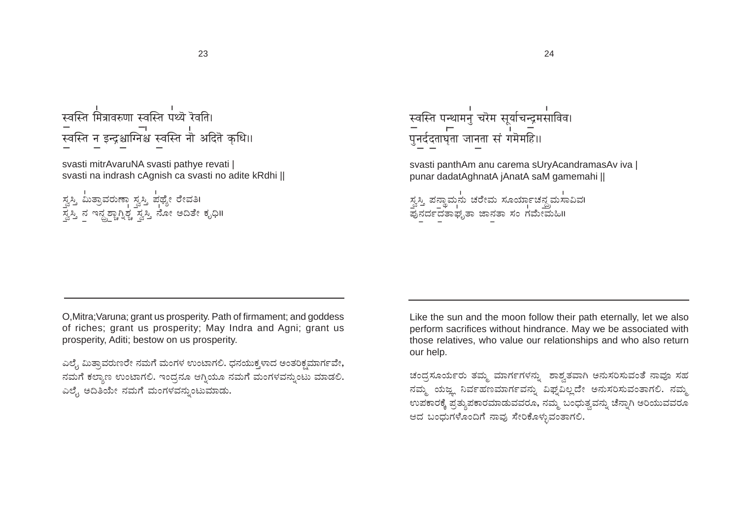# स्वस्ति मित्रावरुणा स्वस्ति पथ्यॆ रॆवति। – ।<br>स्वस्ति न इन्द्रश्चाग्निश्च स्वस्ति नौ अदितॆ कृधि॥

svasti mitrAvaruNA svasti pathye revati | svasti na indrash cAgnish ca svasti no adite kRdhi ||

ಸ್ವಸ್ತಿ ಮಿತ್ರಾವರುಣಾ ಸ್ವಸ್ತಿ ಪಥ್ಯೇ ರೇವತಿ।<br>ಸ್ವಸ್ತಿ ನ ಇನ್<u>ದ್ರಶ್ಚಾಗ್ನಿ</u>ಶ್ಚ ಸ್ವಸ್ತಿ ನೋ ಅದಿತೇ ಕೃಧಿ॥

स्वस्ति पन्थामनु चरेम सूर्याचन्द्रमसाविव।<br>— — — —<br>पुनर्ददताघृता जानता सं गमेमहि॥

svasti panthAm anu carema sUryAcandramasAv iva | punar dadatAghnatA jAnatA saM gamemahi ||

ಸ್ವಸ್ತಿ ಪನ್ಥಾಮನು ಚರೇಮ ಸೂರ್ಯಾಚನ್ಧ್ರಮಸಾವಿವ।<br>ಪುನರ್ದದತಾಘೃತಾ ಜಾನತಾ ಸಂ ಗಮೇಮಹಿಗಿ

O. Mitra: Varuna: grant us prosperity. Path of firmament: and goddess of riches; grant us prosperity; May Indra and Agni; grant us prosperity, Aditi; bestow on us prosperity.

ಎಲ್ಳೆ ಮಿತ್ರಾವರುಣರೇ ನಮಗೆ ಮಂಗಳ ಉಂಟಾಗಲಿ. ಧನಯುಕ್ಕಳಾದ ಅಂತರಿಕ್ಷಮಾರ್ಗವೇ, ನಮಗೆ ಕಲ್ಯಾಣ ಉಂಟಾಗಲಿ. ಇಂದ್ರನೂ ಆಗ್ತಿಯೂ ನಮಗೆ ಮಂಗಳವನ್ನುಂಟು ಮಾಡಲಿ. ಎಲ್ಟೆ ಅದಿತಿಯೇ ನಮಗೆ ಮಂಗಳವನ್ನುಂಟುಮಾಡು.

Like the sun and the moon follow their path eternally, let we also perform sacrifices without hindrance. May we be associated with those relatives, who value our relationships and who also return our help.

ಚಂದ್ರಸೂರ್ಯರು ತಮ್ಮ ಮಾರ್ಗಗಳನ್ನು ಶಾಶ್ವತವಾಗಿ ಅನುಸರಿಸುವಂತೆ ನಾವೂ ಸಹ ನಮ್ಮ ಯಜ್ಞ ನಿರ್ವಹಣಮಾರ್ಗವನ್ನು ವಿಘ್ನವಿಲ್ಲದೇ ಅನುಸರಿಸುವಂತಾಗಲಿ. ನಮ್ಮ ಉಪಕಾರಕ್ಕೆ ಪ್ರತ್ಯಪಕಾರಮಾಡುವವರೂ, ನಮ್ಮ ಬಂಧುತ್ವವನ್ನು ಚೆನ್ನಾಗಿ ಅರಿಯುವವರೂ ಆದ ಬಂಧುಗಳೊಂದಿಗೆ ನಾವು ಸೇರಿಕೊಳ್ಳುವಂತಾಗಲಿ.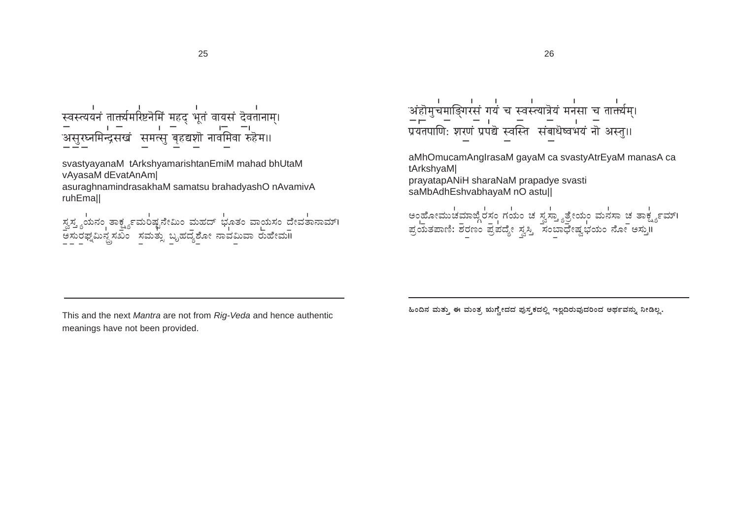$\mathbf{r}$ 

svastyayanaM tArkshyamarishtanEmiM mahad bhUtaM vAyasaM dEvatAnAm asuraghnamindrasakhaM samatsu brahadyashO nAvamivA ruhEmall

ಸ್ವಸ್ತ್ಯಯನಂ ತಾರ್ಕ್ಷ್ಯಮಂಷ್ಟನೇಮಿಂ ಮಹದ್ ಭೂತಂ ವಾಯಸಂ ದೇವತಾನಾಮ್। ಅಸುರಫ್ನಮಿನ್ದಸಖಂ ಸಮತ್ಸು ಬೃಹದ್ಯಶೋ ನಾವಮಿವಾ ರುಹೇಮ॥

अहोमुचमाङ्गिरसं गयं च स्वस्त्यात्रेयं मनसा च तात्तर्यम्। प्रयतपाणिः शरणं प्रपद्ये स्वस्ति संबाधेष्वभयं नॊ अस्त॥

aMhOmucamAngIrasaM gayaM ca svastyAtrEyaM manasA ca tArkshyaM| prayatapANiH sharaNaM prapadye svasti saMbAdhEshvabhayaM nO astull

eoಹೋಮುಚಮಾಜ್ಗೆರಸಂ ಗಯಂ ಚಪ್ಪಸ್ತ್ಯಾತ್ರೇಯಂ ಮನಸಾ ಚತಾರ್ಕ್ಷ್ಯವಾಗಿ ್ರ |<br>ಪ್ರಯತಪಾಣಿ: ಶರಣಂ ಪ್ರಪದ್ಯೇ ಸ್ವಸ್ತಿ | ಸಂಬಾಧೇಷ್ವಭಯಂ ನೋ ಅಸ್ತುII

This and the next Mantra are not from Rig-Veda and hence authentic meanings have not been provided.

ಹಿಂದಿನ ಮತ್ತು ಈ ಮಂತ್ರ ಋಗ್ವೇದದ ಪುಸ್ತಕದಲ್ಲಿ ಇಲ್ಲದಿರುವುದರಿಂದ ಅರ್ಥವನ್ನು ನೀಡಿಲ್ಲ.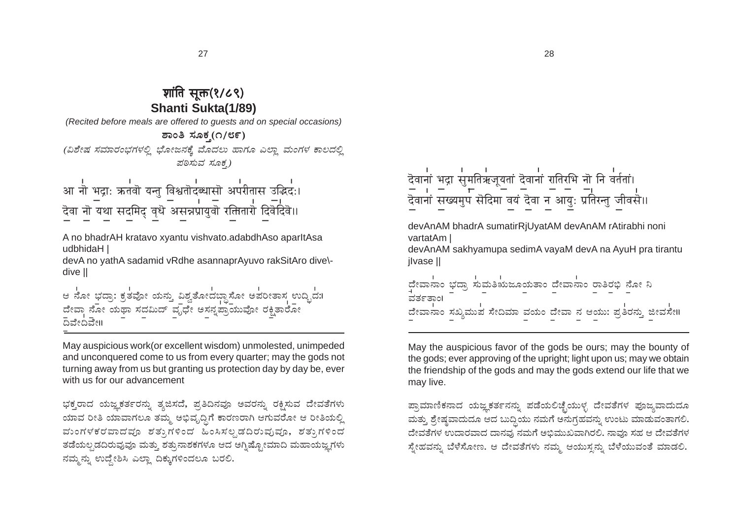## शांति सुक्त(१/८९) **Shanti Sukta(1/89)**

(Recited before meals are offered to quests and on special occasions)

ಶಾಂತಿ ಸೂಕ್ತ(೧/೮೯)

(ವಿಶೇಷ ಸಮಾರಂಭಗಳಲ್ಲಿ ಭೋಜನಕ್ಕೆ ಮೊದಲು ಹಾಗೂ ಎಲ್ಲಾ ಮಂಗಳ ಕಾಲದಲ್ಲಿ ಪಠಿಸುವ ಸೂಕ )

्<br>आ नो भद्रा: ऋतवॊ यन्तु विश्वतॊदब्धासॊ अपरीतास उद्भिद:। र्देवा नॊ यथा सदमिद् वृधॆ असन्नप्रायुवॊ रक्तितारॊ दिवॆदिवॆ॥

A no bhadrAH kratavo xyantu vishvato.adabdhAso aparltAsa udbhidaH |

devA no yathA sadamid vRdhe asannaprAyuvo rakSitAro dive\dive II

ಆ ನೋ ಭದ್ರಾ: ಕ್ರತವೋ ಯನ್ತು ವಿಶ್ವತೋದಬ್ಧಾಸೋ ಅಪರೀತಾಸ್ರ್ಲ ಉದ್ಭಿದ:। 

May auspicious work (or excellent wisdom) unmolested, unimpeded and unconquered come to us from every quarter; may the gods not turning away from us but granting us protection day by day be, ever with us for our advancement

ಭಕ್ತರಾದ ಯಜ್ಞಕರ್ತರನ್ನು ತ್ಯಜಿಸದೆ, ಪ್ರತಿದಿನವೂ ಅವರನ್ನು ರಕ್ಷಿಸುವ ದೇವತೆಗಳು ಯಾವ ರೀತಿ ಯಾವಾಗಲೂ ತಮ್ಮ ಅಭಿವೃದ್ಧಿಗೆ ಕಾರಣರಾಗಿ ಆಗುವರೋ ಆ ರೀತಿಯಲ್ಲಿ ಮಂಗಳಕರವಾದವೂ ಶತ್ತುಗಳಿಂದ ಹಿಂಸಿಸಲ್ಪಡದಿರುವುವೂ, ಶತ್ತುಗಳಿಂದ ತಡೆಯಲ್ಪಡದಿರುವುವೂ ಮತ್ತು ಶತ್ತುನಾಶಕಗಳೂ ಆದ ಅಗ್ನಿಷ್ಟೋಮಾದಿ ಮಹಾಯಜ್ಞಗಳು ನಮ್ಮನ್ನು ಉದ್ದೇಶಿಸಿ ಎಲ್ಲಾ ದಿಕ್ಕುಗಳಿಂದಲೂ ಬರಲಿ.

त्यानां भद्रा सुमतिऋजूयतां दॆवानां रातिरभि नॊ नि वर्ततां। 

devAnAM bhadrA sumatirRiUvatAM devAnAM rAtirabhi noni vartatAm

devAnAM sakhyamupa sedimA vayaM devA na AyuH pra tirantu jivase ||

| ದೇವಾನಾಂ ಭದ್ಯಾ ಸುಮತಿಋಜೂಯತಾಂ ದೇವಾನಾಂ ರಾತಿರಭಿ ನೋ ನಿ<br>ವರ್ತತಾಂ। |  |  |  |  |  |
|--------------------------------------------------------------|--|--|--|--|--|
| ದೇವಾನಾಂ ಸಖ್ಯಮುಪ ಸೇದಿಮಾ ವಯಂ ದೇವಾ ನ ಆಯು: ಪ್ರತಿರನ್ನು ಜೀವಸೇ॥     |  |  |  |  |  |

May the auspicious favor of the gods be ours; may the bounty of the gods; ever approving of the upright; light upon us; may we obtain the friendship of the gods and may the gods extend our life that we may live.

ಪ್ರಾಮಾಣಿಕನಾದ ಯಜ್ಞಕರ್ತನನ್ನು ಪಡೆಯಲಿಚ್ಛೆಯುಳ್ಳ ದೇವತೆಗಳ ಪೂಜ್ಮವಾದುದೂ ಮತ್ತು ಶ್ರೇಷ್ಠವಾದುದೂ ಆದ ಬುದ್ಧಿಯು ನಮಗೆ ಅನುಗ್ರಹವನ್ನು ಉಂಟು ಮಾಡುವಂತಾಗಲಿ. .<br>ದೇವತೆಗಳ ಉದಾರವಾದ ದಾನವು ನಮಗೆ ಅಭಿಮುಖವಾಗಿರಲಿ. ನಾವೂ ಸಹ ಆ ದೇವತೆಗಳ ಸ್ತೇಹವನ್ನು ಬೆಳೆಸೋಣ. ಆ ದೇವತೆಗಳು ನಮ್ಮ ಆಯುಸ್ತನ್ನು ಬೆಳೆಯುವಂತೆ ಮಾಡಲಿ.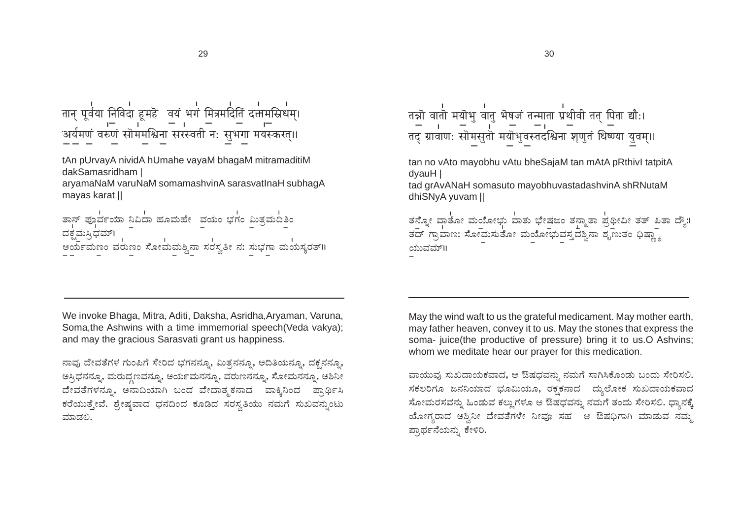tAn pUrvayA nividA hUmahe vayaM bhagaM mitramaditiM dakSamasridham I

aryamaNaM varuNaM somamashvinA sarasvatlnaH subhagA mayas karat ||

ತಾನ್ ಪೂರ್ವಯಾ ನಿವಿದಾ ಹೂಮಹೇ ವಯಂ ಭಗಂ ಮಿತ್ರಮದಿತಿಂ ದಕ್ಕಮಸ್ತಿಧಮ್। ಒ<sub>ಮ್</sub>ಲ್ವಳ್ಳಲು .<br>ಅರ್ಯಮಣಂ ವರುಣಂ ಸೋಮಮಶ್ವಿನಾ ಸರಸ್ವತೀ ನ: ಸುಭಗಾ ಮಯಸ್ಕರತ್॥

तन्नो वातो मयॊभु वातु भॆषजं तन्माता प्रथीवी तत् पिता द्यौ:। 

tan no vAto mayobhu vAtu bheSajaM tan mAtA pRthivl tatpitA dvauH I

tad grAvANaH somasuto mayobhuvastadashvinA shRNutaM dhiSNyA yuvam ||

ತನ್ನೋ ವಾತೋ ಮಯೋಭು ವಾತು ಭೇಷಜಂ ತನ್ಮಾತಾ ಪ್ರಥೀವೀ ತತ್ ಪಿತಾ ದ್ಯೌ:। ತದ್ ಗ್ರಾವಾಣ: ಸೋಮಸುತೋ ಮಯೋಭುವಸ್ತ್ರದಶ್ವಿನಾ ಶೃಣುತಂ ಧಿಷ್ಣ್ಯಾ ಯುವಮ್॥

We invoke Bhaga, Mitra, Aditi, Daksha, Asridha, Aryaman, Varuna, Soma.the Ashwins with a time immemorial speech (Veda vakva): and may the gracious Sarasvati grant us happiness.

ನಾವು ದೇವತೆಗಳ ಗುಂಪಿಗೆ ಸೇರಿದ ಭಗನನ್ನೂ, ಮಿತ್ಸನನ್ನೂ, ಅದಿತಿಯನ್ನೂ, ದಕ್ಷನನ್ನೂ, ಅಸ್ತಿಧನನ್ತೂ, ಮರುದ್ಧಣವನ್ನೂ, ಅರ್ಯಮನನ್ನೂ, ವರುಣನನ್ನೂ, ಸೋಮನನ್ನೂ, ಅಶಿನೀ .<br>ದೇವತೆಗಳನ್ನೂ, ಅನಾದಿಯಾಗಿ ಬಂದ ವೇದಾತ್ಮಕನಾದ ವಾಕ್ಕಿನಿಂದ ಪ್ರಾರ್ಥಿಸಿ ಕರೆಯುತ್ತೇವೆ. ಶ್ರೇಷ್ಠವಾದ ಧನದಿಂದ ಕೂಡಿದ ಸರಸ್ಕತಿಯು ನಮಗೆ ಸುಖವನ್ನುಂಟು ಮಾಡಲಿ.

May the wind waft to us the grateful medicament. May mother earth, may father heaven, convey it to us. May the stones that express the soma- juice(the productive of pressure) bring it to us.O Ashvins; whom we meditate hear our prayer for this medication.

ವಾಯುವು ಸುಖದಾಯಕವಾದ, ಆ ಔಷಧವನ್ನು ನಮಗೆ ಸಾಗಿಸಿಕೊಂಡು ಬಂದು ಸೇರಿಸಲಿ. ಸಕಲರಿಗೂ ಜನನಿಯಾದ ಭೂಮಿಯೂ, ರಕ್ಷಕನಾದ ದ್ವುಲೋಕ ಸುಖದಾಯಕವಾದ ಸೋಮರಸವನ್ನು ಹಿಂಡುವ ಕಲ್ಲುಗಳೂ ಆ ಔಷಧವನ್ನು ನಮಗೆ ತಂದು ಸೇರಿಸಲಿ. ಧ್ಯಾನಕ್ಕೆ ಯೋಗ್ಯರಾದ ಅಶ್ವಿನೀ ದೇವತೆಗಳೇ ನೀವೂ ಸಹ ಆ ಔಷಧಿಗಾಗಿ ಮಾಡುವ ನಮ್ಮ ಪ್ಪಾರ್ಥನೆಯನ್ನು ಕೇಳಿರಿ.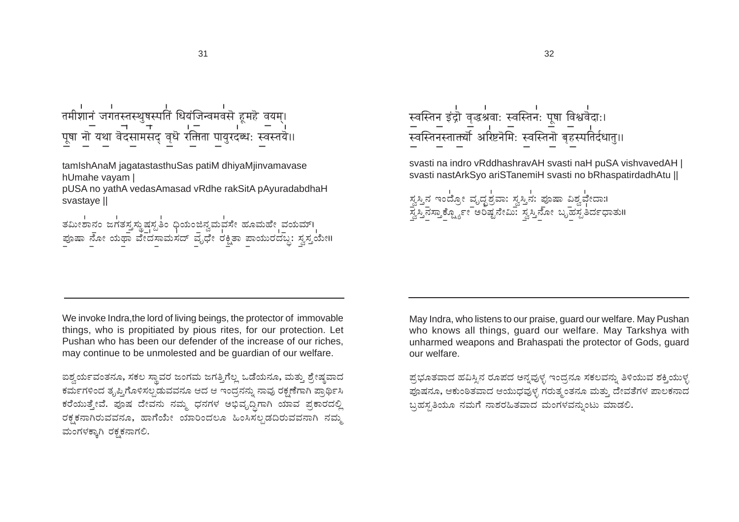# तमीशानं जगतस्तस्थुषस्पतिं धियंजिन्वमवसॆ हूमहॆ वयम्।

tamIshAnaM iagatastasthuSas patiM dhivaMiinvamavase hUmahe vayam |

pUSA no yathA vedasAmasad vRdhe rakSitA pAyuradabdhaH svastave II

|  |  | ತಮೀಶಾನಂ ಜಗತಸ್ತ್ರಸ್ಥುಷಸ್ಪತಿಂ ಧಿಯಂಜಿನ್ವಮವಸೇ ಹೂಮಹೇ ವಯಮ್।   |  |
|--|--|---------------------------------------------------------|--|
|  |  |                                                         |  |
|  |  | ಪೂಷಾ ನೋ ಯಥಾ ವೇದಸಾಮಸದ್ ವೃಧೇ ರಕ್ಷಿತಾ ಪಾಯುರದಬ್ದ: ಸ್ವಸ್ತಯೇ॥ |  |
|  |  |                                                         |  |

स्वस्तिन इंद्रौ वृद्धश्रवाः स्वस्तिनः पूषा विश्ववेदाः। 

svasti na indro vRddhashravAH svasti naH puSA vishvavedAH | svasti nastArkSvo ariSTanemiH svasti no bRhaspatirdadhAtu II

ಸ್ವಸ್ತಿನ ಇಂದ್ರೋ ವೃದ್ಧಶ್ರವಾ: ಸ್ವಸ್ತಿನ: ಪೂಷಾ ವಿಶ್ವವೇದಾ:।<br>ಸ್ವಸ್ತಿನಸ್ತಾಕ್ಷ್ಯೋ – ಅರಿಷ್ಟನೇಮಿ: ಸ್ವಸ್ತಿನೋ ಬೃಹಸ್ಪತಿರ್ದಧಾತು॥

We invoke Indra, the lord of living beings, the protector of immovable things, who is propitiated by pious rites, for our protection. Let Pushan who has been our defender of the increase of our riches, may continue to be unmolested and be guardian of our welfare.

ಐಶ್ವರ್ಯವಂತನೂ, ಸಕಲ ಸ್ಥಾವರ ಜಂಗಮ ಜಗತ್ತಿಗೆಲ್ಲ ಒಡೆಯನೂ, ಮತ್ತು ಶ್ರೇಷ್ಠವಾದ ಕರ್ಮಗಳಿಂದ ತೃಪ್ತಿಗೊಳಿಸಲ್ಪಡುವವನೂ ಆದ ಆ ಇಂದ್ರನನ್ನು ನಾವು ರಕ್ಷಣೆಗಾಗಿ ಪ್ರಾರ್ಥಿಸಿ ಕರೆಯುತ್ತೇವೆ. ಪೂಷ ದೇವನು ನಮ್ಮ ಧನಗಳ ಅಭಿವೃದ್ಧಿಗಾಗಿ ಯಾವ ಪ್ರಕಾರದಲ್ಲಿ ರಕ್ಷಕನಾಗಿರುವವನೂ, ಹಾಗೆಯೇ ಯಾರಿಂದಲೂ ಹಿಂಸಿಸಲ್ಪಡದಿರುವವನಾಗಿ ನಮ್ಮ ಮಂಗಳಕ್ಕಾಗಿ ರಕ್ತಕನಾಗಲಿ.

May Indra, who listens to our praise, guard our welfare. May Pushan who knows all things, guard our welfare. May Tarkshya with unharmed weapons and Brahaspati the protector of Gods, quard our welfare.

ಪ್ಪಭೂತವಾದ ಹವಿಸ್ತಿನ ರೂಪದ ಅನ್ನವುಳ್ಳ ಇಂದ್ಗನೂ ಸಕಲವನ್ನು ತಿಳಿಯುವ ಶಕ್ತಿಯುಳ್ಳ ಪೂಷನೂ, ಆಕುಂಠಿತವಾದ ಆಯುಧವುಳ್ಳ ಗರುತ್ಮಂತನೂ ಮತ್ತು ದೇವತೆಗಳ ಪಾಲಕನಾದ ಬ್ರಹಸ್ರತಿಯೂ ನಮಗೆ ನಾಶರಹಿತವಾದ ಮಂಗಳವನ್ನುಂಟು ಮಾಡಲಿ.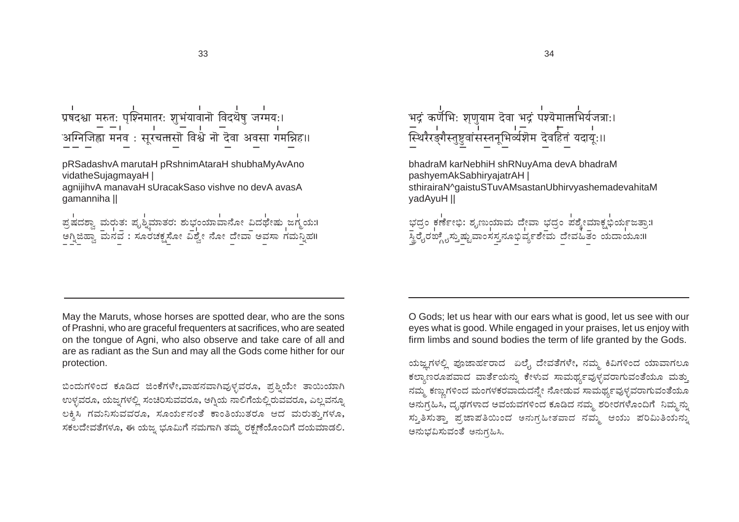प्रषदश्चा मरुतः पृश्निमातरः शुभंयावानॊ विदथेषु जग्मयः। 

pRSadashvA marutaH pRshnimAtaraH shubhaMyAvAno vidatheSujagmayaH |

agnijihvA manavaH sUracakSaso vishve no devA avasA gamanniha II

್ರ<br>ಪ್ರಷದಶ್ವಾ ಮರುತ: ಪೃಶ್ನಿಮಾತರ: ಶುಭಂಯಾವಾನೋ ವಿದಥೇಷು ಜಗ್ಮಯ:।<br>ಅಗ್ನಿಜಿಹ್ವಾ ಮನವ : ಸೂರಚಕ್ಷಸೋ ವಿಶ್ವೇ ನೋ ದೇವಾ ಅವಸಾ ಗಮನ್ನಿಹ॥

भद्रं कर्णभिः शृणुयाम देवा भद्रं पश्येमात्ताभिर्यजत्राः। — । । । । । – । – ।<br>स्थिरैरङ्गैस्तुष्टुवांसस्तनूभिर्व्यशॆम दॆवहितं यदाय॒:॥

bhadraM karNebhiH shRNuyAma devA bhadraM pashyemAkSabhiryajatrAH | sthirairaN^gaistuSTuvAMsastanUbhirvyashemadevahitaM vadAvuH II

್ತದ್ದಂ ಕರ್ಣೇಭಿ: ಶೃಣುಯಾಮ ದೇವಾ ಭದ್ರಂ ಪಶ್ಯೇಮಾಕ್ಷಭಿರ್ಯಜತ್ತಾ:।<br>–<br>ಸ್ಥಿರೈರಜ್ಗೈಸ್ತುಷ್ಟುವಾಂಸಸ್ತನೂಭಿರ್ವ್ಯಶೇಮ ದೇವಹಿತಂ ಯದಾಯೂ:॥

May the Maruts, whose horses are spotted dear, who are the sons of Prashni, who are graceful frequenters at sacrifices, who are seated on the tonque of Agni, who also observe and take care of all and are as radiant as the Sun and may all the Gods come hither for our protection.

ಬಿಂದುಗಳಿಂದ ಕೂಡಿದ ಜಿಂಕೆಗಳೇ,ವಾಹನವಾಗಿವುಳ್ಳವರೂ, ಪೃಶ್ವಿಯೇ ತಾಯಿಯಾಗಿ ಉಳ್ಳವರೂ, ಯಜ್ವಗಳಲ್ಲಿ ಸಂಚಿರಿಸುವವರೂ, ಅಗ್ನಿಯ ನಾಲಿಗೆಯಲ್ಲಿ ರುವವರೂ, ಎಲ್ಲವನ್ನೂ ಲಕ್ಷಿಸಿ ಗಮನಿಸುವವರೂ, ಸೂರ್ಯನಂತೆ ಕಾಂತಿಯುತರೂ ಆದ ಮರುತ್ತುಗಳೂ, ಸಕಲದೇವತೆಗಳೂ, ಈ ಯಜ್ನ ಭೂಮಿಗೆ ನಮಗಾಗಿ ತಮ್ಮ ರಕ್ಷಣೆಯೊಂದಿಗೆ ದಯಮಾಡಲಿ.

O Gods; let us hear with our ears what is good, let us see with our eyes what is good. While engaged in your praises, let us enjoy with firm limbs and sound bodies the term of life granted by the Gods.

ಯಜ್ಞಗಳಲ್ಲಿ ಪೂಜಾರ್ಹರಾದ ಏಲೈ ದೇವತೆಗಳೇ, ನಮ್ಮ ಕಿವಿಗಳಿಂದ ಯಾವಾಗಲೂ ಕಲ್ನಾಣರೂಪವಾದ ವಾರ್ತೆಯನ್ನು ಕೇಳುವ ಸಾಮರ್ಥ್ಯವುಳ್ಳವರಾಗುವಂತೆಯೂ ಮತ್ತು ನಮ್ಮ ಕಣ್ಣುಗಳಿಂದ ಮಂಗಳಕರವಾದುದನ್ನೇ ನೋಡುವ ಸಾಮರ್ಥ್ಯವುಳ್ಳವರಾಗುವಂತೆಯೂ ಅನುಗ್ಗಹಿಸಿ, ದೃಢಗಳಾದ ಅವಯವಗಳಿಂದ ಕೂಡಿದ ನಮ್ಮ ಶರೀರಗಳೊಂದಿಗೆ ನಿಮ್ಮನ್ನು ಸ್ತುತಿಸುತ್ತಾ ಪ್ರಜಾಪತಿಯಿಂದ ಅನುಗ್ರಹೀತವಾದ ನಮ್ಮ ಆಯು ಪರಿಮಿತಿಯನ್ನು ಅನುಭವಿಸುವಂತೆ ಅನುಗಹಿಸಿ.